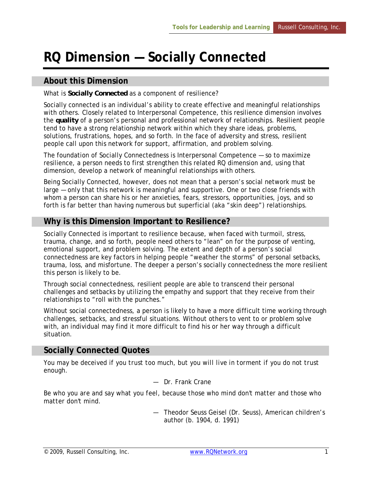# **RQ Dimension — Socially Connected**

### **About this Dimension**

#### What is *Socially Connected* as a component of resilience?

Socially connected is an individual's ability to create effective and meaningful relationships with others. Closely related to Interpersonal Competence, this resilience dimension involves the *quality* of a person's personal and professional network of relationships. Resilient people tend to have a strong relationship network within which they share ideas, problems, solutions, frustrations, hopes, and so forth. In the face of adversity and stress, resilient people call upon this network for support, affirmation, and problem solving.

The foundation of Socially Connectedness is Interpersonal Competence — so to maximize resilience, a person needs to first strengthen this related RQ dimension and, using that dimension, develop a network of meaningful relationships with others.

Being Socially Connected, however, does not mean that a person's social network must be large — only that this network is meaningful and supportive. One or two *close* friends with whom a person can share his or her anxieties, fears, stressors, opportunities, joys, and so forth is far better than having numerous but superficial (aka "skin deep") relationships.

#### **Why is this Dimension Important to Resilience?**

Socially Connected is important to resilience because, when faced with turmoil, stress, trauma, change, and so forth, people need others to "lean" on for the purpose of venting, emotional support, and problem solving. The extent and depth of a person's social connectedness are key factors in helping people "weather the storms" of personal setbacks, trauma, loss, and misfortune. The deeper a person's socially connectedness the more resilient this person is likely to be.

Through social connectedness, resilient people are able to transcend their personal challenges and setbacks by utilizing the empathy and support that they receive from their relationships to "roll with the punches."

Without social connectedness, a person is likely to have a more difficult time working through challenges, setbacks, and stressful situations. Without others to vent to or problem solve with, an individual may find it more difficult to find his or her way through a difficult situation.

#### **Socially Connected Quotes**

*You may be deceived if you trust too much, but you will live in torment if you do not trust enough.* 

— Dr. Frank Crane

*Be who you are and say what you feel, because those who mind don't matter and those who matter don't mind.* 

> — Theodor Seuss Geisel (Dr. Seuss), American children's author (b. 1904, d. 1991)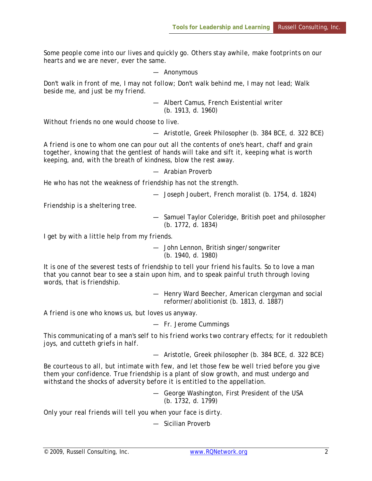*Some people come into our lives and quickly go. Others stay awhile, make footprints on our hearts and we are never, ever the same.* 

— Anonymous

*Don't walk in front of me, I may not follow; Don't walk behind me, I may not lead; Walk beside me, and just be my friend.*

> — Albert Camus, French Existential writer (b. 1913, d. 1960)

*Without friends no one would choose to live.*

— Aristotle, Greek Philosopher (b. 384 BCE, d. 322 BCE)

*A friend is one to whom one can pour out all the contents of one's heart, chaff and grain together, knowing that the gentlest of hands will take and sift it, keeping what is worth keeping, and, with the breath of kindness, blow the rest away.*

— Arabian Proverb

*He who has not the weakness of friendship has not the strength.* 

— Joseph Joubert, French moralist (b. 1754, d. 1824)

*Friendship is a sheltering tree.* 

— Samuel Taylor Coleridge, British poet and philosopher (b. 1772, d. 1834)

*I get by with a little help from my friends*.

— John Lennon, British singer/songwriter (b. 1940, d. 1980)

*It is one of the severest tests of friendship to tell your friend his faults. So to love a man that you cannot bear to see a stain upon him, and to speak painful truth through loving words, that is friendship.*

> — Henry Ward Beecher, American clergyman and social reformer/abolitionist (b. 1813, d. 1887)

*A friend is one who knows us, but loves us anyway.*

— Fr. Jerome Cummings

*This communicating of a man's self to his friend works two contrary effects; for it redoubleth joys, and cutteth griefs in half.*

— Aristotle, Greek philosopher (b. 384 BCE, d. 322 BCE)

*Be courteous to all, but intimate with few, and let those few be well tried before you give them your confidence. True friendship is a plant of slow growth, and must undergo and withstand the shocks of adversity before it is entitled to the appellation*.

> — George Washington, First President of the USA (b. 1732, d. 1799)

*Only your real friends will tell you when your face is dirty.*

— Sicilian Proverb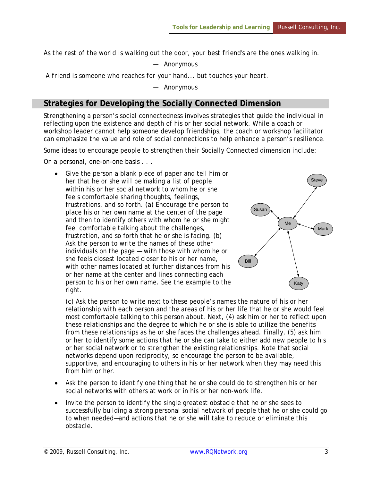*As the rest of the world is walking out the door, your best friend's are the ones walking in.*

— Anonymous

 *A friend is someone who reaches for your hand... but touches your heart.*

— Anonymous

## **Strategies for Developing the Socially Connected Dimension**

Strengthening a person's social connectedness involves strategies that guide the individual in reflecting upon the existence and depth of his or her social network. While a coach or workshop leader cannot help someone *develop* friendships, the coach or workshop facilitator can emphasize the value and role of social connections to help enhance a person's resilience.

Some ideas to encourage people to strengthen their Socially Connected dimension include:

On a personal, one-on-one basis . . .

Give the person a blank piece of paper and tell him or her that he or she will be making a list of people within his or her social network to whom he or she feels comfortable sharing thoughts, feelings, frustrations, and so forth. (a) Encourage the person to place his or her own name at the center of the page and then to identify others with whom he or she might feel comfortable talking about the challenges, frustration, and so forth that he or she is facing. (b) Ask the person to write the names of these other individuals on the page — with those with whom he or she feels closest located closer to his or her name, with other names located at further distances from his or her name at the center and lines connecting each person to his or her own name. See the example to the right.



(c) Ask the person to write next to these people's names the nature of his or her relationship with each person and the areas of his or her life that he or she would feel most comfortable talking to this person about. Next, (4) ask him or her to reflect upon these relationships and the degree to which he or she is able to utilize the benefits from these relationships as he or she faces the challenges ahead. Finally, (5) ask him or her to identify some actions that he or she can take to either add new people to his or her social network or to strengthen the existing relationships. Note that social networks depend upon reciprocity, so encourage the person to be available, supportive, and encouraging to others in his or her network when they may need this from him or her.

- Ask the person to identify one thing that he or she could do to strengthen his or her social networks with others at work or in his or her non-work life.
- Invite the person to identify the single greatest obstacle that he or she sees to successfully building a strong personal social network of people that he or she could go to when needed—and actions that he or she will take to reduce or eliminate this obstacle.